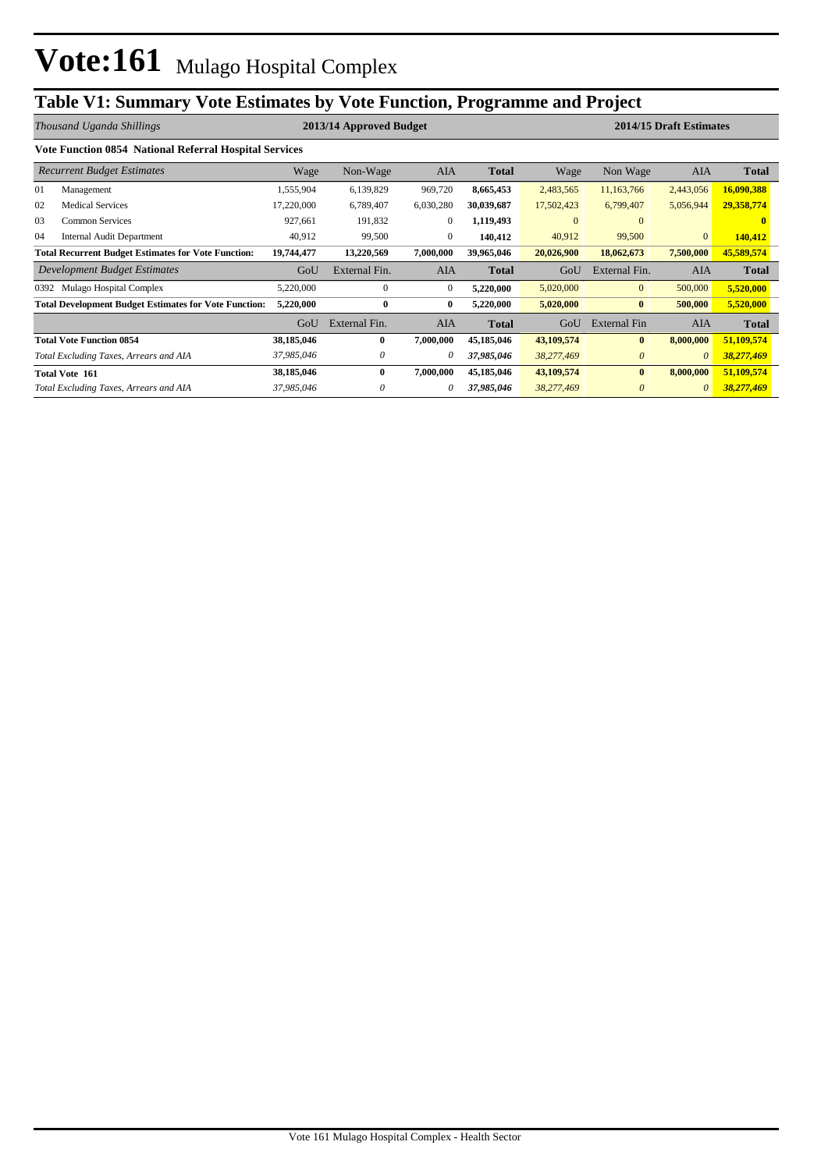# **Table V1: Summary Vote Estimates by Vote Function, Programme and Project**

|                                                            | Thousand Uganda Shillings                                    |            | 2013/14 Approved Budget |                |              | 2014/15 Draft Estimates |                |              |              |  |  |  |  |  |  |
|------------------------------------------------------------|--------------------------------------------------------------|------------|-------------------------|----------------|--------------|-------------------------|----------------|--------------|--------------|--|--|--|--|--|--|
|                                                            | Vote Function 0854 National Referral Hospital Services       |            |                         |                |              |                         |                |              |              |  |  |  |  |  |  |
|                                                            | <b>Recurrent Budget Estimates</b>                            | Wage       | Non-Wage                | <b>AIA</b>     | Total        | Wage                    | Non Wage       | <b>AIA</b>   | <b>Total</b> |  |  |  |  |  |  |
| 01                                                         | Management                                                   | 1,555,904  | 6,139,829               | 969,720        | 8,665,453    | 2,483,565               | 11,163,766     | 2,443,056    | 16,090,388   |  |  |  |  |  |  |
| 02                                                         | <b>Medical Services</b>                                      | 17,220,000 | 6,789,407               | 6,030,280      | 30,039,687   | 17,502,423              | 6,799,407      | 5,056,944    | 29,358,774   |  |  |  |  |  |  |
| 03                                                         | <b>Common Services</b>                                       | 927,661    | 191,832                 | $\mathbf{0}$   | 1,119,493    | $\mathbf{0}$            | $\Omega$       |              | 0            |  |  |  |  |  |  |
| 04                                                         | Internal Audit Department                                    | 40,912     | 99,500                  | $\overline{0}$ | 140,412      | 40,912                  | 99,500         | $\mathbf{0}$ | 140,412      |  |  |  |  |  |  |
| <b>Total Recurrent Budget Estimates for Vote Function:</b> |                                                              | 19,744,477 | 13,220,569              | 7,000,000      | 39,965,046   | 20,026,900              | 18,062,673     | 7,500,000    | 45,589,574   |  |  |  |  |  |  |
|                                                            | Development Budget Estimates                                 | GoU        | External Fin.           | AIA            | <b>Total</b> | GoU                     | External Fin.  | AIA          | <b>Total</b> |  |  |  |  |  |  |
| 0392                                                       | Mulago Hospital Complex                                      | 5,220,000  | $\mathbf{0}$            | $\overline{0}$ | 5,220,000    | 5,020,000               | $\overline{0}$ | 500,000      | 5,520,000    |  |  |  |  |  |  |
|                                                            | <b>Total Development Budget Estimates for Vote Function:</b> | 5,220,000  | $\bf{0}$                | $\bf{0}$       | 5,220,000    | 5,020,000               | $\bf{0}$       | 500,000      | 5,520,000    |  |  |  |  |  |  |
|                                                            |                                                              | GoU        | External Fin.           | <b>AIA</b>     | <b>Total</b> | GoU                     | External Fin   | <b>AIA</b>   | <b>Total</b> |  |  |  |  |  |  |
|                                                            | <b>Total Vote Function 0854</b>                              | 38,185,046 | $\mathbf{0}$            | 7,000,000      | 45,185,046   | 43,109,574              | $\mathbf{0}$   | 8,000,000    | 51,109,574   |  |  |  |  |  |  |
|                                                            | Total Excluding Taxes, Arrears and AIA                       | 37,985,046 | 0                       | 0              | 37,985,046   | 38,277,469              | $\theta$       | $\theta$     | 38,277,469   |  |  |  |  |  |  |
|                                                            | <b>Total Vote 161</b>                                        | 38,185,046 | $\mathbf{0}$            | 7,000,000      | 45,185,046   | 43,109,574              | $\mathbf{0}$   | 8,000,000    | 51,109,574   |  |  |  |  |  |  |
|                                                            | Total Excluding Taxes, Arrears and AIA                       | 37,985,046 | 0                       | 0              | 37,985,046   | 38,277,469              | $\theta$       | $\theta$     | 38,277,469   |  |  |  |  |  |  |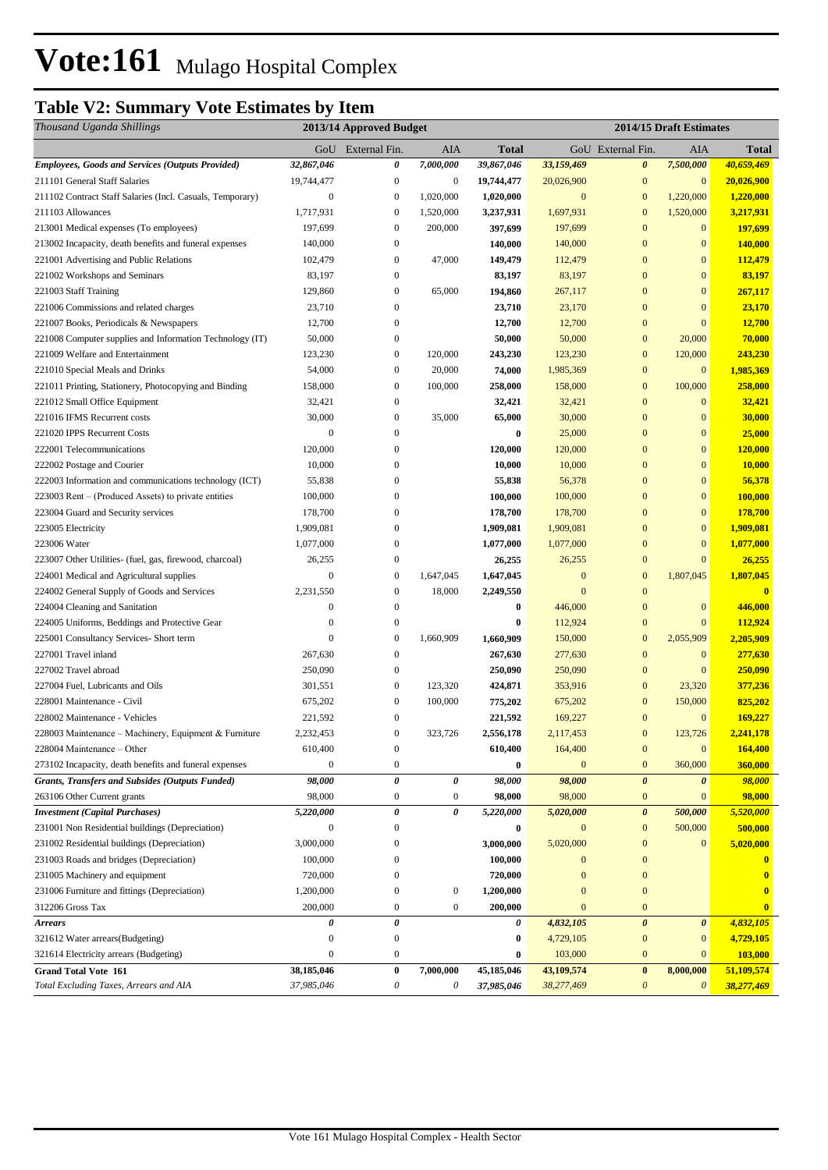## **Table V2: Summary Vote Estimates by Item**

| Thousand Uganda Shillings                                 |                  | 2013/14 Approved Budget   |                       | 2014/15 Draft Estimates |                  |                       |                       |                         |
|-----------------------------------------------------------|------------------|---------------------------|-----------------------|-------------------------|------------------|-----------------------|-----------------------|-------------------------|
|                                                           |                  | GoU External Fin.         | AIA                   | <b>Total</b>            |                  | GoU External Fin.     | AIA                   | <b>Total</b>            |
| <b>Employees, Goods and Services (Outputs Provided)</b>   | 32,867,046       | 0                         | 7,000,000             | 39,867,046              | 33,159,469       | 0                     | 7,500,000             | 40,659,469              |
| 211101 General Staff Salaries                             | 19,744,477       | $\boldsymbol{0}$          | $\bf{0}$              | 19,744,477              | 20,026,900       | $\boldsymbol{0}$      | $\mathbf{0}$          | 20,026,900              |
| 211102 Contract Staff Salaries (Incl. Casuals, Temporary) | 0                | $\boldsymbol{0}$          | 1,020,000             | 1,020,000               | $\boldsymbol{0}$ | $\mathbf{0}$          | 1,220,000             | 1,220,000               |
| 211103 Allowances                                         | 1,717,931        | $\boldsymbol{0}$          | 1,520,000             | 3,237,931               | 1,697,931        | $\mathbf{0}$          | 1,520,000             | 3,217,931               |
| 213001 Medical expenses (To employees)                    | 197,699          | $\boldsymbol{0}$          | 200,000               | 397,699                 | 197,699          | $\mathbf{0}$          | $\mathbf{0}$          | 197,699                 |
| 213002 Incapacity, death benefits and funeral expenses    | 140,000          | $\overline{0}$            |                       | 140,000                 | 140,000          | $\mathbf{0}$          | $\boldsymbol{0}$      | 140,000                 |
| 221001 Advertising and Public Relations                   | 102,479          | $\boldsymbol{0}$          | 47,000                | 149,479                 | 112,479          | $\mathbf{0}$          | $\mathbf{0}$          | 112,479                 |
| 221002 Workshops and Seminars                             | 83,197           | 0                         |                       | 83,197                  | 83,197           | $\mathbf{0}$          | $\boldsymbol{0}$      | 83,197                  |
| 221003 Staff Training                                     | 129,860          | $\boldsymbol{0}$          | 65,000                | 194,860                 | 267,117          | $\mathbf{0}$          | $\mathbf{0}$          | 267,117                 |
| 221006 Commissions and related charges                    | 23,710           | $\mathbf{0}$              |                       | 23,710                  | 23,170           | $\mathbf{0}$          | $\mathbf{0}$          | 23,170                  |
| 221007 Books, Periodicals & Newspapers                    | 12,700           | $\overline{0}$            |                       | 12,700                  | 12,700           | $\mathbf{0}$          | $\overline{0}$        | 12,700                  |
| 221008 Computer supplies and Information Technology (IT)  | 50,000           | $\boldsymbol{0}$          |                       | 50,000                  | 50,000           | $\mathbf{0}$          | 20,000                | 70,000                  |
| 221009 Welfare and Entertainment                          | 123,230          | $\boldsymbol{0}$          | 120,000               | 243,230                 | 123,230          | $\mathbf{0}$          | 120,000               | 243,230                 |
| 221010 Special Meals and Drinks                           | 54,000           | $\boldsymbol{0}$          | 20,000                | 74,000                  | 1,985,369        | $\mathbf{0}$          | $\mathbf{0}$          | 1,985,369               |
| 221011 Printing, Stationery, Photocopying and Binding     | 158,000          | $\boldsymbol{0}$          | 100,000               | 258,000                 | 158,000          | $\mathbf{0}$          | 100,000               | 258,000                 |
| 221012 Small Office Equipment                             | 32,421           | $\boldsymbol{0}$          |                       | 32,421                  | 32,421           | $\mathbf{0}$          | $\mathbf{0}$          | 32,421                  |
| 221016 IFMS Recurrent costs                               | 30,000           | $\boldsymbol{0}$          | 35,000                | 65,000                  | 30,000           | $\boldsymbol{0}$      | $\boldsymbol{0}$      | 30,000                  |
| 221020 IPPS Recurrent Costs                               | $\boldsymbol{0}$ | $\mathbf{0}$              |                       | $\bf{0}$                | 25,000           | $\mathbf{0}$          | $\boldsymbol{0}$      | 25,000                  |
| 222001 Telecommunications                                 | 120,000          | $\mathbf{0}$              |                       | 120,000                 | 120,000          | $\mathbf{0}$          | $\mathbf{0}$          | 120,000                 |
| 222002 Postage and Courier                                | 10,000           | $\theta$                  |                       | 10,000                  | 10,000           | $\mathbf{0}$          | $\mathbf{0}$          | 10,000                  |
| 222003 Information and communications technology (ICT)    | 55,838           | $\mathbf{0}$              |                       | 55,838                  | 56,378           | $\mathbf{0}$          | $\boldsymbol{0}$      | 56,378                  |
| 223003 Rent – (Produced Assets) to private entities       | 100,000          | $\mathbf{0}$              |                       | 100,000                 | 100,000          | $\mathbf{0}$          | $\boldsymbol{0}$      | 100,000                 |
| 223004 Guard and Security services                        | 178,700          | $\overline{0}$            |                       | 178,700                 | 178,700          | $\mathbf{0}$          | $\mathbf{0}$          | 178,700                 |
| 223005 Electricity                                        | 1,909,081        | $\theta$                  |                       | 1,909,081               | 1,909,081        | $\mathbf{0}$          | $\mathbf{0}$          | 1,909,081               |
| 223006 Water                                              | 1,077,000        | $\mathbf{0}$              |                       | 1,077,000               | 1,077,000        | $\mathbf{0}$          | $\mathbf{0}$          | 1,077,000               |
| 223007 Other Utilities- (fuel, gas, firewood, charcoal)   | 26,255           | $\boldsymbol{0}$          |                       | 26,255                  | 26,255           | $\mathbf{0}$          | $\boldsymbol{0}$      | 26,255                  |
| 224001 Medical and Agricultural supplies                  | $\boldsymbol{0}$ | $\boldsymbol{0}$          | 1,647,045             | 1,647,045               | $\boldsymbol{0}$ | $\bf{0}$              | 1,807,045             | 1,807,045               |
| 224002 General Supply of Goods and Services               | 2,231,550        | $\boldsymbol{0}$          | 18,000                | 2,249,550               | $\mathbf{0}$     | $\bf{0}$              |                       |                         |
| 224004 Cleaning and Sanitation                            | $\overline{0}$   | $\overline{0}$            |                       | $\bf{0}$                | 446,000          | $\mathbf{0}$          | $\mathbf{0}$          | 446,000                 |
| 224005 Uniforms, Beddings and Protective Gear             | $\boldsymbol{0}$ | $\mathbf{0}$              |                       | $\bf{0}$                | 112,924          | $\mathbf{0}$          | $\overline{0}$        | 112,924                 |
| 225001 Consultancy Services- Short term                   | $\mathbf{0}$     | $\mathbf{0}$              | 1,660,909             | 1,660,909               | 150,000          | $\mathbf{0}$          | 2,055,909             | 2,205,909               |
| 227001 Travel inland                                      | 267,630          | $\boldsymbol{0}$          |                       | 267,630                 | 277,630          | $\mathbf{0}$          | $\mathbf{0}$          | 277,630                 |
| 227002 Travel abroad                                      | 250,090          | $\boldsymbol{0}$          |                       | 250,090                 | 250,090          | $\mathbf{0}$          | $\mathbf{0}$          | 250,090                 |
| 227004 Fuel, Lubricants and Oils                          | 301,551          | $\boldsymbol{0}$          | 123,320               | 424,871                 | 353,916          | $\bf{0}$              | 23,320                | 377,236                 |
| 228001 Maintenance - Civil                                | 675,202          | $\boldsymbol{0}$          | 100,000               | 775,202                 | 675,202          | $\bf{0}$              | 150,000               | 825,202                 |
| 228002 Maintenance - Vehicles                             | 221,592          | $\boldsymbol{0}$          |                       | 221,592                 | 169,227          | $\bf{0}$              | $\mathbf{0}$          | 169,227                 |
| 228003 Maintenance – Machinery, Equipment & Furniture     | 2,232,453        | $\boldsymbol{0}$          | 323,726               | 2,556,178               | 2,117,453        | $\mathbf{0}$          | 123,726               | 2.241.178               |
| 228004 Maintenance - Other                                | 610,400          | $\boldsymbol{0}$          |                       | 610,400                 | 164,400          | $\bf{0}$              | $\boldsymbol{0}$      | 164,400                 |
| 273102 Incapacity, death benefits and funeral expenses    | 0                | $\boldsymbol{0}$          |                       | $\bf{0}$                | $\mathbf{0}$     | $\mathbf{0}$          | 360,000               | 360,000                 |
| Grants, Transfers and Subsides (Outputs Funded)           | 98,000           | 0                         | 0                     | 98,000                  | 98,000           | $\boldsymbol{\theta}$ | 0                     | 98,000                  |
| 263106 Other Current grants                               | 98,000           | $\boldsymbol{0}$          | $\boldsymbol{0}$      | 98,000                  | 98,000           | $\bf{0}$              | $\mathbf{0}$          | 98,000                  |
| <b>Investment</b> (Capital Purchases)                     | 5,220,000        | 0                         | $\boldsymbol{\theta}$ | 5,220,000               | 5,020,000        | $\boldsymbol{\theta}$ | 500,000               | 5,520,000               |
| 231001 Non Residential buildings (Depreciation)           | 0                | $\overline{0}$            |                       | $\bf{0}$                | $\boldsymbol{0}$ | $\mathbf{0}$          | 500,000               | 500,000                 |
| 231002 Residential buildings (Depreciation)               | 3,000,000        | $\mathbf{0}$              |                       | 3,000,000               | 5,020,000        | $\boldsymbol{0}$      | $\mathbf{0}$          | 5,020,000               |
| 231003 Roads and bridges (Depreciation)                   | 100,000          | $\mathbf{0}$              |                       | 100,000                 | $\mathbf{0}$     | $\bf{0}$              |                       | $\mathbf{0}$            |
| 231005 Machinery and equipment                            | 720,000          | $\mathbf{0}$              |                       | 720,000                 | $\boldsymbol{0}$ | $\boldsymbol{0}$      |                       |                         |
| 231006 Furniture and fittings (Depreciation)              | 1,200,000        | $\boldsymbol{0}$          | $\boldsymbol{0}$      | 1,200,000               | $\mathbf{0}$     | $\boldsymbol{0}$      |                       | $\bf{0}$                |
| 312206 Gross Tax                                          | 200,000          | $\boldsymbol{0}$          | $\boldsymbol{0}$      | 200,000                 | $\mathbf{0}$     | $\bf{0}$              |                       | $\overline{\mathbf{0}}$ |
| <b>Arrears</b>                                            | 0                | 0                         |                       | 0                       | 4,832,105        | $\boldsymbol{\theta}$ | $\boldsymbol{\theta}$ | 4,832,105               |
| 321612 Water arrears(Budgeting)                           | $\bf{0}$         | $\boldsymbol{0}$          |                       | $\bf{0}$                | 4,729,105        | $\bf{0}$              | $\mathbf{0}$          | 4,729,105               |
| 321614 Electricity arrears (Budgeting)                    | $\mathbf{0}$     | $\boldsymbol{0}$          |                       | 0                       | 103,000          | $\mathbf{0}$          | $\mathbf{0}$          | 103,000                 |
| <b>Grand Total Vote 161</b>                               | 38,185,046       | $\bf{0}$                  | 7,000,000             | 45,185,046              | 43,109,574       | $\pmb{0}$             | 8,000,000             | 51,109,574              |
| Total Excluding Taxes, Arrears and AIA                    | 37,985,046       | $\boldsymbol{\mathit{0}}$ | $\theta$              | 37,985,046              | 38,277,469       | $\boldsymbol{\theta}$ | $\boldsymbol{\theta}$ | 38,277,469              |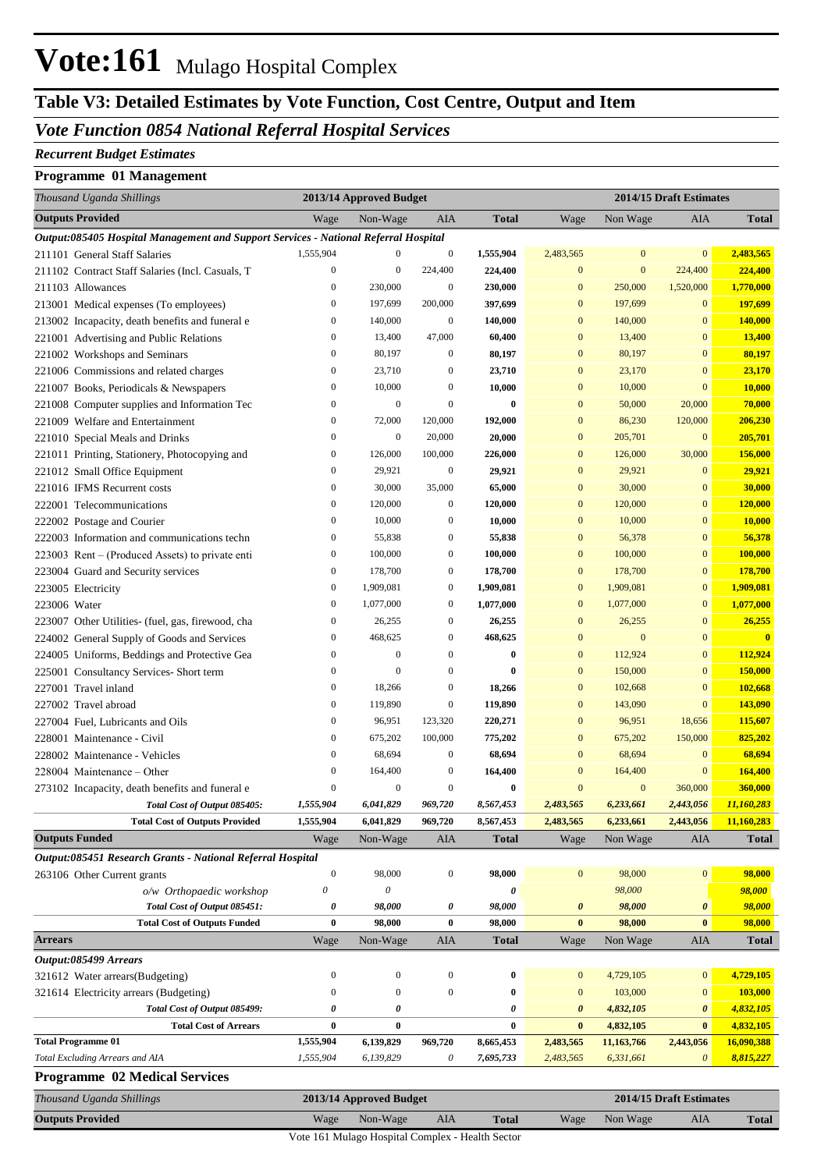## **Table V3: Detailed Estimates by Vote Function, Cost Centre, Output and Item**

### *Vote Function 0854 National Referral Hospital Services*

#### *Recurrent Budget Estimates*

#### **Programme 01 Management**

| Thousand Uganda Shillings                                                           | 2013/14 Approved Budget |                                      |                                      | 2014/15 Draft Estimates |                        |                         |                                    |                         |
|-------------------------------------------------------------------------------------|-------------------------|--------------------------------------|--------------------------------------|-------------------------|------------------------|-------------------------|------------------------------------|-------------------------|
| <b>Outputs Provided</b>                                                             | Wage                    | Non-Wage                             | <b>AIA</b>                           | <b>Total</b>            | Wage                   | Non Wage                | AIA                                | <b>Total</b>            |
| Output:085405 Hospital Management and Support Services - National Referral Hospital |                         |                                      |                                      |                         |                        |                         |                                    |                         |
| 211101 General Staff Salaries                                                       | 1,555,904               | $\mathbf{0}$                         | $\boldsymbol{0}$                     | 1,555,904               | 2,483,565              | $\mathbf{0}$            | $\mathbf{0}$                       | 2,483,565               |
| 211102 Contract Staff Salaries (Incl. Casuals, T                                    | $\boldsymbol{0}$        | $\mathbf{0}$                         | 224,400                              | 224,400                 | $\mathbf{0}$           | $\mathbf{0}$            | 224,400                            | 224,400                 |
| 211103 Allowances                                                                   | $\boldsymbol{0}$        | 230,000                              | $\boldsymbol{0}$                     | 230,000                 | $\mathbf{0}$           | 250,000                 | 1,520,000                          | 1,770,000               |
| 213001 Medical expenses (To employees)                                              | $\boldsymbol{0}$        | 197,699                              | 200,000                              | 397,699                 | $\mathbf{0}$           | 197,699                 | $\mathbf{0}$                       | 197,699                 |
| 213002 Incapacity, death benefits and funeral e                                     | $\boldsymbol{0}$        | 140,000                              | $\boldsymbol{0}$                     | 140,000                 | $\mathbf{0}$           | 140,000                 | $\mathbf{0}$                       | 140,000                 |
| 221001 Advertising and Public Relations                                             | $\boldsymbol{0}$        | 13,400                               | 47,000                               | 60,400                  | $\mathbf{0}$           | 13,400                  | $\mathbf{0}$                       | 13,400                  |
| 221002 Workshops and Seminars                                                       | $\boldsymbol{0}$        | 80,197                               | $\boldsymbol{0}$                     | 80,197                  | $\mathbf{0}$           | 80,197                  | $\mathbf{0}$                       | 80,197                  |
| 221006 Commissions and related charges                                              | $\boldsymbol{0}$        | 23,710                               | $\boldsymbol{0}$                     | 23,710                  | $\mathbf{0}$           | 23,170                  | $\mathbf{0}$                       | 23,170                  |
| 221007 Books, Periodicals & Newspapers                                              | $\boldsymbol{0}$        | 10,000                               | $\boldsymbol{0}$                     | 10,000                  | $\mathbf{0}$           | 10,000                  | $\mathbf{0}$                       | 10,000                  |
| 221008 Computer supplies and Information Tec                                        | $\boldsymbol{0}$        | $\mathbf{0}$                         | $\boldsymbol{0}$                     | $\bf{0}$                | $\mathbf{0}$           | 50,000                  | 20,000                             | 70,000                  |
| 221009 Welfare and Entertainment                                                    | $\boldsymbol{0}$        | 72,000                               | 120,000                              | 192,000                 | $\mathbf{0}$           | 86,230                  | 120,000                            | 206,230                 |
| 221010 Special Meals and Drinks                                                     | $\boldsymbol{0}$        | $\mathbf{0}$                         | 20,000                               | 20,000                  | $\mathbf{0}$           | 205,701                 | $\boldsymbol{0}$                   | 205,701                 |
| 221011 Printing, Stationery, Photocopying and                                       | $\boldsymbol{0}$        | 126,000                              | 100,000                              | 226,000                 | $\mathbf{0}$           | 126,000                 | 30,000                             | 156,000                 |
| 221012 Small Office Equipment                                                       | $\boldsymbol{0}$        | 29,921                               | $\mathbf{0}$                         | 29,921                  | $\mathbf{0}$           | 29,921                  | $\mathbf{0}$                       | 29,921                  |
| 221016 IFMS Recurrent costs                                                         | $\boldsymbol{0}$        | 30,000                               | 35,000                               | 65,000                  | $\mathbf{0}$           | 30,000                  | $\mathbf{0}$                       | 30,000                  |
| 222001 Telecommunications                                                           | $\boldsymbol{0}$        | 120,000                              | $\boldsymbol{0}$                     | 120,000                 | $\mathbf{0}$           | 120,000                 | $\mathbf{0}$                       | 120,000                 |
| 222002 Postage and Courier                                                          | $\boldsymbol{0}$        | 10,000                               | $\boldsymbol{0}$                     | 10,000                  | $\mathbf{0}$           | 10,000                  | $\bf{0}$                           | 10,000                  |
| 222003 Information and communications techn                                         | $\boldsymbol{0}$        | 55,838                               | $\boldsymbol{0}$                     | 55,838                  | $\mathbf{0}$           | 56,378                  | $\mathbf{0}$                       | 56,378                  |
| 223003 Rent – (Produced Assets) to private enti                                     | $\boldsymbol{0}$        | 100,000                              | $\boldsymbol{0}$                     | 100,000                 | $\mathbf{0}$           | 100,000                 | $\mathbf{0}$                       | 100,000                 |
| 223004 Guard and Security services                                                  | $\boldsymbol{0}$        | 178,700                              | $\boldsymbol{0}$                     | 178,700                 | $\mathbf{0}$           | 178,700                 | $\mathbf{0}$                       | 178,700                 |
| 223005 Electricity                                                                  | $\boldsymbol{0}$        | 1,909,081                            | $\boldsymbol{0}$                     | 1,909,081               | $\mathbf{0}$           | 1,909,081               | $\mathbf{0}$                       | 1,909,081               |
| 223006 Water                                                                        | $\boldsymbol{0}$        | 1,077,000                            | $\boldsymbol{0}$                     | 1,077,000               | $\mathbf{0}$           | 1,077,000               | $\mathbf{0}$                       | 1,077,000               |
| 223007 Other Utilities- (fuel, gas, firewood, cha                                   | $\boldsymbol{0}$        | 26,255                               | $\boldsymbol{0}$                     | 26,255                  | $\mathbf{0}$           | 26,255                  | $\mathbf{0}$                       | 26,255                  |
| 224002 General Supply of Goods and Services                                         | $\boldsymbol{0}$        | 468,625                              | $\boldsymbol{0}$                     | 468,625                 | $\mathbf{0}$           | $\mathbf{0}$            | $\mathbf{0}$                       | $\overline{\mathbf{0}}$ |
| 224005 Uniforms, Beddings and Protective Gea                                        | $\boldsymbol{0}$        | $\mathbf{0}$                         | $\boldsymbol{0}$                     | $\bf{0}$                | $\mathbf{0}$           | 112,924                 | $\mathbf{0}$                       | 112,924                 |
| 225001 Consultancy Services- Short term                                             | $\boldsymbol{0}$        | $\mathbf{0}$                         | $\boldsymbol{0}$                     | $\bf{0}$                | $\mathbf{0}$           | 150,000                 | $\mathbf{0}$                       | 150,000                 |
| 227001 Travel inland                                                                | $\boldsymbol{0}$        | 18,266                               | $\boldsymbol{0}$                     | 18,266                  | $\mathbf{0}$           | 102,668                 | $\mathbf{0}$                       | 102,668                 |
| 227002 Travel abroad                                                                | $\boldsymbol{0}$        | 119,890                              | $\boldsymbol{0}$                     | 119,890                 | $\mathbf{0}$           | 143,090                 | $\mathbf{0}$                       | 143,090                 |
| 227004 Fuel, Lubricants and Oils                                                    | $\boldsymbol{0}$        | 96,951                               | 123,320                              | 220,271                 | $\mathbf{0}$           | 96,951                  | 18,656                             | 115,607                 |
| 228001 Maintenance - Civil                                                          | $\boldsymbol{0}$        | 675,202                              | 100,000                              | 775,202                 | $\mathbf{0}$           | 675,202                 | 150,000                            | 825,202                 |
| 228002 Maintenance - Vehicles                                                       | $\boldsymbol{0}$        | 68,694                               | $\boldsymbol{0}$                     | 68,694                  | $\mathbf{0}$           | 68,694                  | $\mathbf{0}$                       | 68,694                  |
| 228004 Maintenance – Other                                                          | $\boldsymbol{0}$        | 164,400                              | $\boldsymbol{0}$                     | 164,400                 | $\mathbf{0}$           | 164,400                 | $\mathbf{0}$                       | 164,400                 |
| 273102 Incapacity, death benefits and funeral e                                     | $\boldsymbol{0}$        | $\mathbf{0}$                         | $\mathbf{0}$                         | $\bf{0}$                | $\mathbf{0}$           | $\mathbf{0}$            | 360,000                            | 360,000                 |
| Total Cost of Output 085405:                                                        | 1,555,904               | 6,041,829                            | 969,720                              | 8,567,453               | 2,483,565              | 6,233,661               | 2,443,056                          | 11,160,283              |
| <b>Total Cost of Outputs Provided</b>                                               | 1,555,904               | 6,041,829                            | 969,720                              | 8,567,453               | 2,483,565              | 6,233,661               | 2,443,056                          | 11,160,283              |
| <b>Outputs Funded</b>                                                               | Wage                    | Non-Wage                             | AIA                                  | <b>Total</b>            | Wage                   | Non Wage                | AIA                                | <b>Total</b>            |
| Output:085451 Research Grants - National Referral Hospital                          |                         |                                      |                                      |                         |                        |                         |                                    |                         |
| 263106 Other Current grants                                                         | $\boldsymbol{0}$        | 98,000                               | $\boldsymbol{0}$                     | 98,000                  | $\mathbf{0}$           | 98,000                  | $\boldsymbol{0}$                   | 98,000                  |
| o/w Orthopaedic workshop                                                            | 0                       | $\boldsymbol{\mathit{0}}$            |                                      | 0                       |                        | 98,000                  |                                    | 98,000                  |
| Total Cost of Output 085451:                                                        | 0                       | 98,000                               | 0                                    | 98,000                  | $\boldsymbol{\theta}$  | 98,000                  | 0                                  | 98,000                  |
| <b>Total Cost of Outputs Funded</b>                                                 | $\bf{0}$                | 98,000                               | $\bf{0}$                             | 98,000                  | $\bf{0}$               | 98,000                  | $\bf{0}$                           | 98,000                  |
| <b>Arrears</b>                                                                      | Wage                    | Non-Wage                             | AIA                                  | <b>Total</b>            | Wage                   | Non Wage                | AIA                                | <b>Total</b>            |
| Output:085499 Arrears                                                               |                         |                                      |                                      |                         |                        |                         |                                    |                         |
| 321612 Water arrears(Budgeting)                                                     | $\boldsymbol{0}$        | $\boldsymbol{0}$<br>$\boldsymbol{0}$ | $\boldsymbol{0}$                     | $\bf{0}$                | $\mathbf{0}$           | 4,729,105               | $\mathbf{0}$                       | 4,729,105               |
| 321614 Electricity arrears (Budgeting)                                              | $\boldsymbol{0}$        |                                      | $\boldsymbol{0}$                     | $\bf{0}$                | $\boldsymbol{0}$       | 103,000                 | $\mathbf{0}$                       | 103,000                 |
| Total Cost of Output 085499:                                                        | 0                       | 0<br>$\bf{0}$                        |                                      | 0                       | $\boldsymbol{\theta}$  | 4,832,105               | $\boldsymbol{\theta}$              | 4,832,105               |
| <b>Total Cost of Arrears</b><br><b>Total Programme 01</b>                           | $\bf{0}$<br>1,555,904   |                                      |                                      | $\bf{0}$                | $\bf{0}$               | 4,832,105               | $\bf{0}$                           | 4,832,105               |
| Total Excluding Arrears and AIA                                                     | 1,555,904               | 6,139,829<br>6,139,829               | 969,720<br>$\boldsymbol{\mathit{0}}$ | 8,665,453<br>7,695,733  | 2,483,565<br>2,483,565 | 11,163,766<br>6,331,661 | 2,443,056<br>$\boldsymbol{\theta}$ | 16,090,388<br>8,815,227 |
| <b>Programme 02 Medical Services</b>                                                |                         |                                      |                                      |                         |                        |                         |                                    |                         |
| Thousand Uganda Shillings                                                           |                         | 2013/14 Approved Budget              |                                      |                         |                        |                         | 2014/15 Draft Estimates            |                         |
| <b>Outputs Provided</b>                                                             | Wage                    | Non-Wage                             | AIA                                  | <b>Total</b>            | Wage                   | Non Wage                | AIA                                | <b>Total</b>            |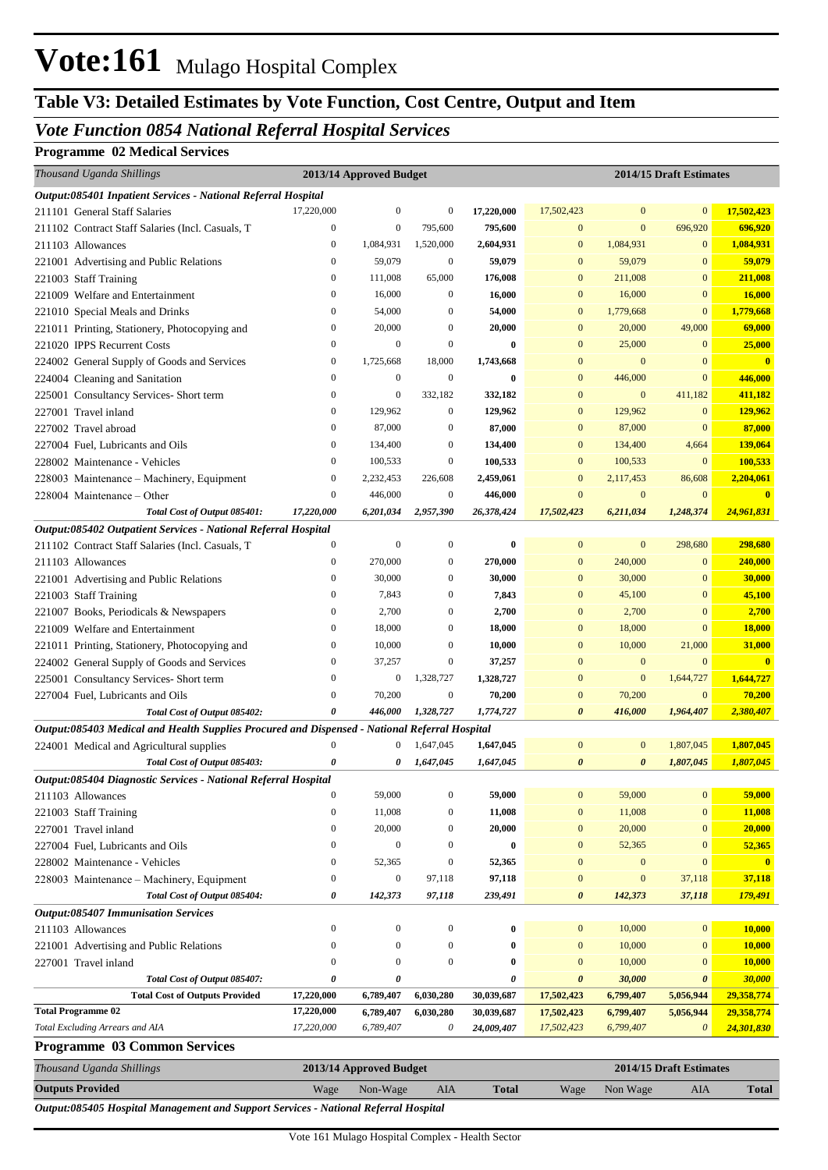## **Table V3: Detailed Estimates by Vote Function, Cost Centre, Output and Item**

### *Vote Function 0854 National Referral Hospital Services*

### **Programme 02 Medical Services**

| Thousand Uganda Shillings<br>2013/14 Approved Budget<br>2014/15 Draft Estimates               |                  |                         |                  |              |                       |                       |                         |                         |
|-----------------------------------------------------------------------------------------------|------------------|-------------------------|------------------|--------------|-----------------------|-----------------------|-------------------------|-------------------------|
| Output:085401 Inpatient Services - National Referral Hospital                                 |                  |                         |                  |              |                       |                       |                         |                         |
| 211101 General Staff Salaries                                                                 | 17,220,000       | $\boldsymbol{0}$        | $\boldsymbol{0}$ | 17,220,000   | 17,502,423            | $\bf{0}$              | $\mathbf{0}$            | 17,502,423              |
| 211102 Contract Staff Salaries (Incl. Casuals, T                                              | $\boldsymbol{0}$ | $\boldsymbol{0}$        | 795,600          | 795,600      | $\mathbf{0}$          | $\mathbf{0}$          | 696,920                 | 696,920                 |
| 211103 Allowances                                                                             | $\boldsymbol{0}$ | 1,084,931               | 1,520,000        | 2,604,931    | $\bf{0}$              | 1,084,931             | $\mathbf{0}$            | 1,084,931               |
| 221001 Advertising and Public Relations                                                       | $\boldsymbol{0}$ | 59,079                  | $\boldsymbol{0}$ | 59,079       | $\boldsymbol{0}$      | 59,079                | $\mathbf{0}$            | 59,079                  |
| 221003 Staff Training                                                                         | $\boldsymbol{0}$ | 111,008                 | 65,000           | 176,008      | $\boldsymbol{0}$      | 211,008               | $\mathbf{0}$            | 211,008                 |
| 221009 Welfare and Entertainment                                                              | $\boldsymbol{0}$ | 16,000                  | $\boldsymbol{0}$ | 16,000       | $\bf{0}$              | 16,000                | $\mathbf{0}$            | 16,000                  |
| 221010 Special Meals and Drinks                                                               | $\boldsymbol{0}$ | 54,000                  | $\boldsymbol{0}$ | 54,000       | $\bf{0}$              | 1,779,668             | $\mathbf{0}$            | 1,779,668               |
| 221011 Printing, Stationery, Photocopying and                                                 | $\boldsymbol{0}$ | 20,000                  | $\boldsymbol{0}$ | 20,000       | $\bf{0}$              | 20,000                | 49,000                  | 69,000                  |
| 221020 IPPS Recurrent Costs                                                                   | $\mathbf{0}$     | $\mathbf{0}$            | $\mathbf{0}$     | $\bf{0}$     | $\boldsymbol{0}$      | 25,000                | $\mathbf{0}$            | 25,000                  |
| 224002 General Supply of Goods and Services                                                   | $\boldsymbol{0}$ | 1,725,668               | 18,000           | 1,743,668    | $\bf{0}$              | $\mathbf{0}$          | $\mathbf{0}$            | $\bf{0}$                |
| 224004 Cleaning and Sanitation                                                                | $\boldsymbol{0}$ | $\boldsymbol{0}$        | $\mathbf{0}$     | $\bf{0}$     | $\bf{0}$              | 446,000               | $\mathbf{0}$            | 446,000                 |
| 225001 Consultancy Services- Short term                                                       | $\boldsymbol{0}$ | $\mathbf{0}$            | 332,182          | 332,182      | $\mathbf{0}$          | $\mathbf{0}$          | 411,182                 | 411,182                 |
| 227001 Travel inland                                                                          | $\boldsymbol{0}$ | 129,962                 | $\mathbf{0}$     | 129,962      | $\boldsymbol{0}$      | 129,962               | $\mathbf{0}$            | 129,962                 |
| 227002 Travel abroad                                                                          | $\mathbf{0}$     | 87,000                  | $\boldsymbol{0}$ | 87,000       | $\bf{0}$              | 87,000                | $\mathbf{0}$            | 87,000                  |
| 227004 Fuel, Lubricants and Oils                                                              | $\boldsymbol{0}$ | 134,400                 | $\boldsymbol{0}$ | 134,400      | $\bf{0}$              | 134,400               | 4,664                   | 139,064                 |
| 228002 Maintenance - Vehicles                                                                 | $\boldsymbol{0}$ | 100,533                 | $\boldsymbol{0}$ | 100,533      | $\mathbf{0}$          | 100,533               | $\mathbf{0}$            | 100,533                 |
| 228003 Maintenance - Machinery, Equipment                                                     | $\boldsymbol{0}$ | 2,232,453               | 226,608          | 2,459,061    | $\mathbf{0}$          | 2,117,453             | 86,608                  | 2,204,061               |
| 228004 Maintenance – Other                                                                    | $\boldsymbol{0}$ | 446,000                 | $\boldsymbol{0}$ | 446,000      | $\mathbf{0}$          | $\mathbf{0}$          | $\mathbf{0}$            | $\overline{\mathbf{0}}$ |
| Total Cost of Output 085401:                                                                  | 17,220,000       | 6,201,034               | 2,957,390        | 26,378,424   | 17,502,423            | 6,211,034             | 1,248,374               | 24,961,831              |
| Output:085402 Outpatient Services - National Referral Hospital                                |                  |                         |                  |              |                       |                       |                         |                         |
| 211102 Contract Staff Salaries (Incl. Casuals, T                                              | $\boldsymbol{0}$ | $\mathbf{0}$            | $\mathbf{0}$     | $\bf{0}$     | $\bf{0}$              | $\boldsymbol{0}$      | 298,680                 | 298,680                 |
| 211103 Allowances                                                                             | $\boldsymbol{0}$ | 270,000                 | $\boldsymbol{0}$ | 270,000      | $\bf{0}$              | 240,000               | $\mathbf{0}$            | 240,000                 |
| 221001 Advertising and Public Relations                                                       | $\boldsymbol{0}$ | 30,000                  | $\boldsymbol{0}$ | 30,000       | $\bf{0}$              | 30,000                | $\mathbf{0}$            | 30,000                  |
| 221003 Staff Training                                                                         | $\mathbf{0}$     | 7,843                   | $\boldsymbol{0}$ | 7,843        | $\bf{0}$              | 45,100                | $\bf{0}$                | 45,100                  |
| 221007 Books, Periodicals & Newspapers                                                        | $\boldsymbol{0}$ | 2,700                   | $\boldsymbol{0}$ | 2,700        | $\bf{0}$              | 2,700                 | $\mathbf{0}$            | 2,700                   |
| 221009 Welfare and Entertainment                                                              | $\boldsymbol{0}$ | 18,000                  | $\boldsymbol{0}$ | 18,000       | $\bf{0}$              | 18,000                | $\mathbf{0}$            | 18,000                  |
| 221011 Printing, Stationery, Photocopying and                                                 | $\boldsymbol{0}$ | 10,000                  | $\boldsymbol{0}$ | 10,000       | $\bf{0}$              | 10,000                | 21,000                  | 31,000                  |
| 224002 General Supply of Goods and Services                                                   | $\boldsymbol{0}$ | 37,257                  | $\theta$         | 37,257       | $\mathbf{0}$          | $\mathbf{0}$          | $\mathbf{0}$            | $\overline{\mathbf{0}}$ |
| 225001 Consultancy Services- Short term                                                       | $\boldsymbol{0}$ | $\boldsymbol{0}$        | 1,328,727        | 1,328,727    | $\mathbf{0}$          | $\mathbf{0}$          | 1,644,727               | 1,644,727               |
| 227004 Fuel, Lubricants and Oils                                                              | $\boldsymbol{0}$ | 70,200                  | $\boldsymbol{0}$ | 70,200       | $\bf{0}$              | 70,200                | $\mathbf{0}$            | 70,200                  |
| Total Cost of Output 085402:                                                                  | 0                | 446,000                 | 1,328,727        | 1,774,727    | $\boldsymbol{\theta}$ | 416,000               | 1,964,407               | 2,380,407               |
| Output:085403 Medical and Health Supplies Procured and Dispensed - National Referral Hospital |                  |                         |                  |              |                       |                       |                         |                         |
| 224001 Medical and Agricultural supplies                                                      | $\boldsymbol{0}$ | $\mathbf{0}$            | 1,647,045        | 1,647,045    | $\bf{0}$              | $\mathbf{0}$          | 1,807,045               | 1,807,045               |
| Total Cost of Output 085403:                                                                  | 0                | 0                       | 1,647,045        | 1,647,045    | $\boldsymbol{\theta}$ | $\boldsymbol{\theta}$ | 1,807,045               | 1,807,045               |
| Output:085404 Diagnostic Services - National Referral Hospital                                |                  |                         |                  |              |                       |                       |                         |                         |
| 211103 Allowances                                                                             | $\boldsymbol{0}$ | 59,000                  | $\boldsymbol{0}$ | 59,000       | $\mathbf{0}$          | 59,000                | $\mathbf{0}$            | 59,000                  |
| 221003 Staff Training                                                                         | $\boldsymbol{0}$ | 11,008                  | $\boldsymbol{0}$ | 11,008       | $\bf{0}$              | 11,008                | $\mathbf{0}$            | 11,008                  |
| 227001 Travel inland                                                                          | 0                | 20,000                  | $\boldsymbol{0}$ | 20,000       | $\mathbf{0}$          | 20,000                | $\mathbf{0}$            | 20,000                  |
| 227004 Fuel, Lubricants and Oils                                                              | $\boldsymbol{0}$ | $\mathbf{0}$            | $\boldsymbol{0}$ | $\bf{0}$     | $\mathbf{0}$          | 52,365                | $\mathbf{0}$            | 52,365                  |
| 228002 Maintenance - Vehicles                                                                 | $\boldsymbol{0}$ | 52,365                  | $\boldsymbol{0}$ | 52,365       | $\mathbf{0}$          | $\boldsymbol{0}$      | $\mathbf{0}$            | $\overline{\mathbf{0}}$ |
| 228003 Maintenance - Machinery, Equipment                                                     | $\boldsymbol{0}$ | $\boldsymbol{0}$        | 97,118           | 97,118       | $\mathbf{0}$          | $\boldsymbol{0}$      | 37,118                  | 37,118                  |
| Total Cost of Output 085404:                                                                  | 0                | 142,373                 | 97,118           | 239,491      | 0                     | 142,373               | 37,118                  | 179,491                 |
| <b>Output:085407 Immunisation Services</b>                                                    |                  |                         |                  |              |                       |                       |                         |                         |
| 211103 Allowances                                                                             | $\boldsymbol{0}$ | $\boldsymbol{0}$        | $\boldsymbol{0}$ | $\bf{0}$     | $\mathbf{0}$          | 10,000                | $\mathbf{0}$            | 10,000                  |
| 221001 Advertising and Public Relations                                                       | $\boldsymbol{0}$ | $\mathbf{0}$            | $\boldsymbol{0}$ | $\bf{0}$     | $\mathbf{0}$          | 10,000                | $\bf{0}$                | 10,000                  |
| 227001 Travel inland                                                                          | $\boldsymbol{0}$ | $\boldsymbol{0}$        | $\boldsymbol{0}$ | $\bf{0}$     | $\mathbf{0}$          | 10,000                | $\mathbf{0}$            | 10,000                  |
| Total Cost of Output 085407:                                                                  | 0                | 0                       |                  | 0            | 0                     | 30,000                | $\boldsymbol{\theta}$   | 30,000                  |
| <b>Total Cost of Outputs Provided</b>                                                         | 17,220,000       | 6,789,407               | 6,030,280        | 30,039,687   | 17,502,423            | 6,799,407             | 5,056,944               | 29,358,774              |
| <b>Total Programme 02</b>                                                                     | 17,220,000       | 6,789,407               | 6,030,280        | 30,039,687   | 17,502,423            | 6,799,407             | 5,056,944               | 29,358,774              |
| Total Excluding Arrears and AIA                                                               | 17,220,000       | 6,789,407               | 0                | 24,009,407   | 17,502,423            | 6,799,407             | $\boldsymbol{\theta}$   | 24,301,830              |
| <b>Programme 03 Common Services</b>                                                           |                  |                         |                  |              |                       |                       |                         |                         |
| Thousand Uganda Shillings                                                                     |                  | 2013/14 Approved Budget |                  |              |                       |                       | 2014/15 Draft Estimates |                         |
| <b>Outputs Provided</b>                                                                       | Wage             | Non-Wage                | AIA              | <b>Total</b> | Wage                  | Non Wage              | AIA                     | <b>Total</b>            |

*Output:085405 Hospital Management and Support Services - National Referral Hospital*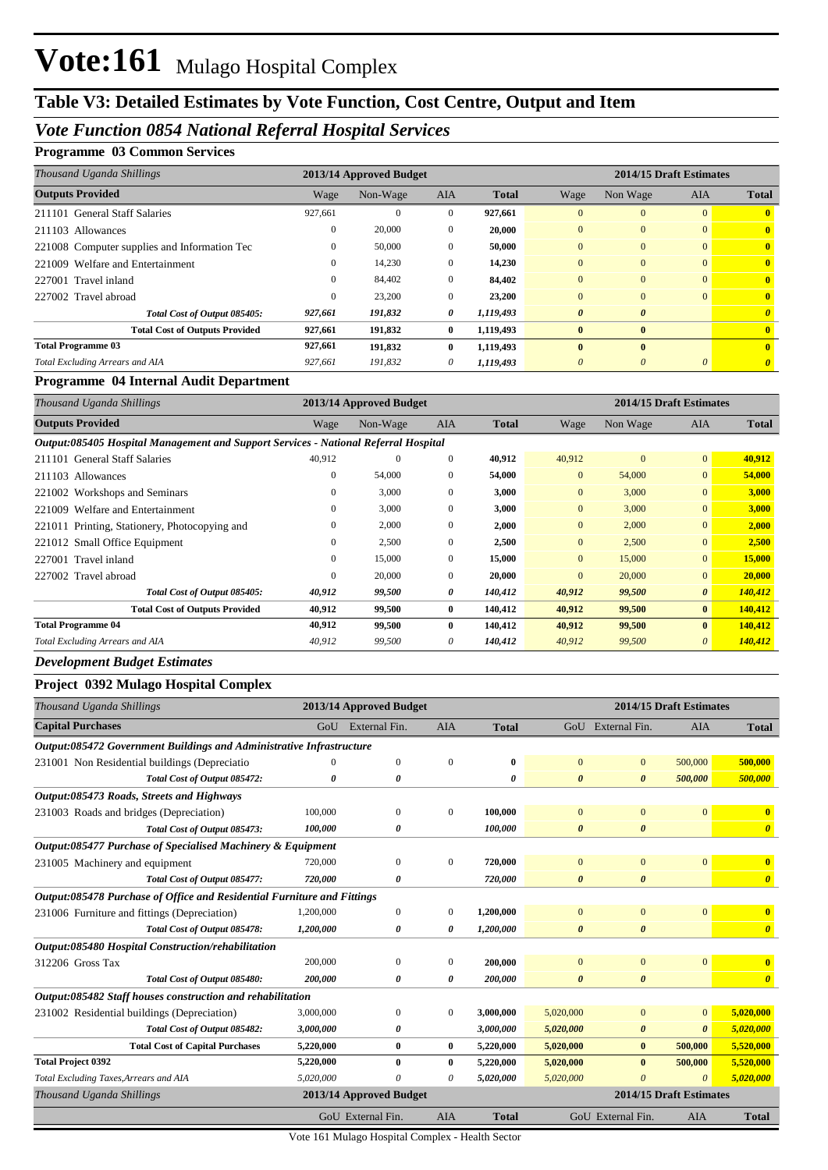## **Table V3: Detailed Estimates by Vote Function, Cost Centre, Output and Item**

### *Vote Function 0854 National Referral Hospital Services*

### **Programme 03 Common Services**

| Thousand Uganda Shillings                    | 2013/14 Approved Budget |          |              |              | 2014/15 Draft Estimates |                       |            |              |  |
|----------------------------------------------|-------------------------|----------|--------------|--------------|-------------------------|-----------------------|------------|--------------|--|
| <b>Outputs Provided</b>                      | Wage                    | Non-Wage | <b>AIA</b>   | <b>Total</b> | Wage                    | Non Wage              | <b>AIA</b> | <b>Total</b> |  |
| 211101 General Staff Salaries                | 927,661                 | 0        | $\theta$     | 927,661      | $\Omega$                | $\theta$              | $\Omega$   |              |  |
| 211103 Allowances                            | 0                       | 20,000   | $\mathbf{0}$ | 20,000       | $\mathbf{0}$            | $\Omega$              | $\Omega$   |              |  |
| 221008 Computer supplies and Information Tec | $^{(1)}$                | 50,000   | $\Omega$     | 50,000       | $\Omega$                | $\Omega$              | $\Omega$   | $\mathbf{0}$ |  |
| 221009 Welfare and Entertainment             | $^{(1)}$                | 14,230   | $\theta$     | 14,230       | $\Omega$                | $\Omega$              | $\Omega$   | 0            |  |
| 227001 Travel inland                         | $^{(1)}$                | 84,402   | $\mathbf{0}$ | 84,402       | $\mathbf{0}$            | $\Omega$              | $\Omega$   | 0            |  |
| 227002 Travel abroad                         | 0                       | 23,200   | $\Omega$     | 23,200       | $\Omega$                | $\Omega$              | $\Omega$   |              |  |
| Total Cost of Output 085405:                 | 927,661                 | 191,832  | 0            | 1,119,493    | $\boldsymbol{\theta}$   | $\boldsymbol{\theta}$ |            |              |  |
| <b>Total Cost of Outputs Provided</b>        | 927,661                 | 191,832  | $\bf{0}$     | 1,119,493    | $\mathbf{0}$            | $\mathbf{0}$          |            |              |  |
| <b>Total Programme 03</b>                    | 927,661                 | 191,832  | $\mathbf{0}$ | 1,119,493    | $\mathbf{0}$            | $\mathbf{0}$          |            | $\mathbf{0}$ |  |
| Total Excluding Arrears and AIA              | 927.661                 | 191.832  | $\theta$     | 1,119,493    | $\theta$                | 0                     | 0          |              |  |

#### **Programme 04 Internal Audit Department**

| Thousand Uganda Shillings                                                           | 2013/14 Approved Budget |          |              |              | 2014/15 Draft Estimates |              |                       |              |  |
|-------------------------------------------------------------------------------------|-------------------------|----------|--------------|--------------|-------------------------|--------------|-----------------------|--------------|--|
| <b>Outputs Provided</b>                                                             | Wage                    | Non-Wage | <b>AIA</b>   | <b>Total</b> | Wage                    | Non Wage     | <b>AIA</b>            | <b>Total</b> |  |
| Output:085405 Hospital Management and Support Services - National Referral Hospital |                         |          |              |              |                         |              |                       |              |  |
| 211101 General Staff Salaries                                                       | 40.912                  | $\Omega$ | $\mathbf{0}$ | 40,912       | 40,912                  | $\mathbf{0}$ | $\overline{0}$        | 40,912       |  |
| 211103 Allowances                                                                   | $\Omega$                | 54,000   | $\mathbf{0}$ | 54,000       | $\overline{0}$          | 54,000       | $\overline{0}$        | 54,000       |  |
| 221002 Workshops and Seminars                                                       | $\Omega$                | 3,000    | $\mathbf{0}$ | 3,000        | $\overline{0}$          | 3,000        | $\overline{0}$        | 3,000        |  |
| 221009 Welfare and Entertainment                                                    | 0                       | 3,000    | $\Omega$     | 3,000        | $\overline{0}$          | 3,000        | $\overline{0}$        | 3,000        |  |
| 221011 Printing, Stationery, Photocopying and                                       | $\Omega$                | 2,000    | $\Omega$     | 2,000        | $\overline{0}$          | 2,000        | $\overline{0}$        | 2,000        |  |
| 221012 Small Office Equipment                                                       | $\Omega$                | 2,500    | $\Omega$     | 2,500        | $\overline{0}$          | 2,500        | $\overline{0}$        | 2,500        |  |
| 227001 Travel inland                                                                | 0                       | 15,000   | $\mathbf{0}$ | 15,000       | $\overline{0}$          | 15,000       | $\overline{0}$        | 15,000       |  |
| 227002 Travel abroad                                                                | $\Omega$                | 20,000   | $\Omega$     | 20,000       | $\Omega$                | 20,000       | $\overline{0}$        | 20,000       |  |
| Total Cost of Output 085405:                                                        | 40,912                  | 99,500   | 0            | 140,412      | 40,912                  | 99,500       | $\boldsymbol{\theta}$ | 140,412      |  |
| <b>Total Cost of Outputs Provided</b>                                               | 40,912                  | 99,500   | $\mathbf{0}$ | 140,412      | 40,912                  | 99,500       | $\mathbf{0}$          | 140,412      |  |
| <b>Total Programme 04</b>                                                           | 40,912                  | 99,500   | $\mathbf{0}$ | 140,412      | 40,912                  | 99,500       | $\bf{0}$              | 140,412      |  |
| Total Excluding Arrears and AIA                                                     | 40,912                  | 99,500   | 0            | 140,412      | 40,912                  | 99,500       | $\theta$              | 140,412      |  |

#### *Development Budget Estimates*

#### **Project 0392 Mulago Hospital Complex**

| Thousand Uganda Shillings                                               |           | 2013/14 Approved Budget |              |                         | 2014/15 Draft Estimates |                                 |                |                         |
|-------------------------------------------------------------------------|-----------|-------------------------|--------------|-------------------------|-------------------------|---------------------------------|----------------|-------------------------|
| <b>Capital Purchases</b>                                                |           | GoU External Fin.       | <b>AIA</b>   | <b>Total</b>            |                         | GoU External Fin.<br><b>AIA</b> |                |                         |
| Output:085472 Government Buildings and Administrative Infrastructure    |           |                         |              |                         |                         |                                 |                |                         |
| 231001 Non Residential buildings (Depreciatio                           | $\Omega$  | $\Omega$                | $\Omega$     | $\bf{0}$                | $\Omega$                | $\mathbf{0}$                    | 500,000        | 500,000                 |
| Total Cost of Output 085472:                                            | 0         | 0                       |              | 0                       | $\boldsymbol{\theta}$   | $\boldsymbol{\theta}$           | 500,000        | 500,000                 |
| Output:085473 Roads, Streets and Highways                               |           |                         |              |                         |                         |                                 |                |                         |
| 231003 Roads and bridges (Depreciation)                                 | 100,000   | $\Omega$                | $\mathbf{0}$ | 100,000                 | $\overline{0}$          | $\mathbf{0}$                    | $\overline{0}$ | $\overline{\mathbf{0}}$ |
| Total Cost of Output 085473:                                            | 100,000   | 0                       |              | 100,000                 | 0                       | $\boldsymbol{\theta}$           |                | $\boldsymbol{\theta}$   |
| Output:085477 Purchase of Specialised Machinery & Equipment             |           |                         |              |                         |                         |                                 |                |                         |
| 231005 Machinery and equipment                                          | 720,000   | $\mathbf{0}$            | $\mathbf{0}$ | 720,000                 | $\overline{0}$          | $\mathbf{0}$                    | $\overline{0}$ | $\mathbf{0}$            |
| Total Cost of Output 085477:                                            | 720,000   | 0                       |              | 720,000                 | $\boldsymbol{\theta}$   | $\boldsymbol{\theta}$           |                | $\boldsymbol{\theta}$   |
| Output:085478 Purchase of Office and Residential Furniture and Fittings |           |                         |              |                         |                         |                                 |                |                         |
| 231006 Furniture and fittings (Depreciation)                            | 1,200,000 | $\mathbf{0}$            | 0            | 1,200,000               | $\mathbf{0}$            | $\mathbf{0}$                    | $\overline{0}$ | $\overline{\mathbf{0}}$ |
| Total Cost of Output 085478:                                            | 1,200,000 | 0                       | 0            | 1,200,000               | $\boldsymbol{\theta}$   | $\boldsymbol{\theta}$           |                | $\boldsymbol{\theta}$   |
| Output:085480 Hospital Construction/rehabilitation                      |           |                         |              |                         |                         |                                 |                |                         |
| 312206 Gross Tax                                                        | 200,000   | $\Omega$                | 0            | 200,000                 | $\Omega$                | $\mathbf{0}$                    | $\Omega$       | $\mathbf{0}$            |
| Total Cost of Output 085480:                                            | 200,000   | 0                       | 0            | 200,000                 | $\boldsymbol{\theta}$   | $\boldsymbol{\theta}$           |                | $\boldsymbol{\theta}$   |
| Output:085482 Staff houses construction and rehabilitation              |           |                         |              |                         |                         |                                 |                |                         |
| 231002 Residential buildings (Depreciation)                             | 3,000,000 | $\Omega$                | $\mathbf{0}$ | 3,000,000               | 5,020,000               | $\mathbf{0}$                    | $\overline{0}$ | 5,020,000               |
| Total Cost of Output 085482:                                            | 3,000,000 | 0                       |              | 3,000,000               | 5,020,000               | $\boldsymbol{\theta}$           | $\theta$       | 5,020,000               |
| <b>Total Cost of Capital Purchases</b>                                  | 5,220,000 | 0                       | 0            | 5,220,000               | 5,020,000               | $\bf{0}$                        | 500,000        | 5,520,000               |
| <b>Total Project 0392</b>                                               | 5,220,000 | $\mathbf{0}$            | 0            | 5,220,000               | 5,020,000               | $\bf{0}$                        | 500,000        | 5,520,000               |
| Total Excluding Taxes, Arrears and AIA                                  | 5,020,000 |                         | 0            | 5,020,000               | 5,020,000               | $\Omega$                        | $\Omega$       | 5,020,000               |
| Thousand Uganda Shillings                                               |           | 2013/14 Approved Budget |              | 2014/15 Draft Estimates |                         |                                 |                |                         |
|                                                                         |           | GoU External Fin.       | <b>AIA</b>   | <b>Total</b>            | GoU External Fin.       | <b>Total</b>                    |                |                         |